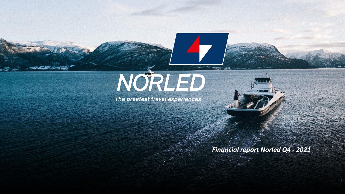# NORLED

 $\blacktriangle$ 

The greatest travel experiences



#### *Financial report Norled Q4 - 2021*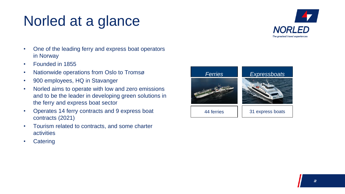#### Norled at a glance



- One of the leading ferry and express boat operators in Norway
- Founded in 1855
- Nationwide operations from Oslo to Tromsø
- 900 employees, HQ in Stavanger
- Norled aims to operate with low and zero emissions and to be the leader in developing green solutions in the ferry and express boat sector
- Operates 14 ferry contracts and 9 express boat contracts (2021)
- Tourism related to contracts, and some charter activities
- Catering

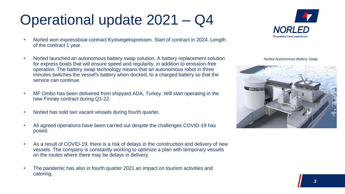## Operational update 2021 – Q4

- Norled won expressboat contract Kystvegekspressen. Start of contract in 2024. Length of the contract 1 year.
- Norled launched an autonomous battery swap solution. A battery replacement solution for express boats that will ensure speed and regularity, in addition to emission-free operation. The battery swap technology means that an autonomous robot in three minutes switches the vessel's battery when docked, to a charged battery so that the service can continue.
- MF Ombo has been delivered from shipyard ADA, Turkey. Will start operating in the new Finnøy contract during Q1-22.
- Norled has sold two vacant vessels during fourth quarter.
- All agreed operations have been carried out despite the challenges COVID-19 has posed.
- As a result of COVID-19, there is a risk of delays in the construction and delivery of new vessels. The company is constantly working to optimize a plan with temporary vessels on the routes where there may be delays in delivery.
- The pandemic has also in fourth quarter 2021 an impact on tourism activities and catering.



*Norled Autonomous Battery Swap*

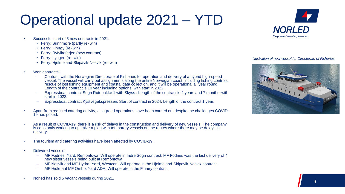### Operational update 2021 – YTD

- Successful start of 5 new contracts in 2021.
	- Ferry: Sunnmøre (partly re- win)
	- Ferry: Finnøy (re- win)
	- Ferry: Ryfylkeferjen (new contract)
	- Ferry: Lyngen (re- win)
	- Ferry: Hielmeland-Skipavik-Nesvik (re- win)
- Won contracts:
	- Contract with the Norwegian Directorate of Fisheries for operation and delivery of a hybrid high-speed vessel. The vessel will carry out assignments along the entire Norwegian coast, including fishing controls, rescue of lost fishing equipment and coastal data collection, and it will be operational all year round. Length of the contract is 10 year including options, with start in 2022.
	- Expressboat contract Sogn Rutepakke 1 with Skyss . Length of the contract is 2 years and 7 months, with start in 2022.
	- Expressboat contract Kystvegekspressen. Start of contract in 2024. Length of the contract 1 year.
- Apart from reduced catering activity, all agreed operations have been carried out despite the challenges COVID-19 has posed.
- As a result of COVID-19, there is a risk of delays in the construction and delivery of new vessels. The company is constantly working to optimize a plan with temporary vessels on the routes where there may be delays in delivery.
- The tourism and catering activities have been affected by COVID-19.
- Delivered vessels:
	- MF Fodnes. Yard, Remontowa. Will operate in Indre Sogn contract. MF Fodnes was the last delivery of 4 new sister vessels being built at Remontowa.
	- MF Nesvik and MF Hydra. Yard, Westcon. Will operate in the Hjelmeland-Skipavik-Nesvik contract.
	- MF Hidle anf MF Ombo. Yard ADA. Will operate in the Finnøy contract.
- Norled has sold 5 vacant vessels during 2021.



#### *Illustration of new vessel for Directorate of Fisheries*

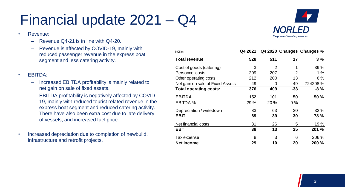#### Financial update 2021 – Q4

- Revenue:
	- Revenue Q4-21 is in line with Q4-20.
	- Revenue is affected by COVID-19, mainly with reduced passenger revenue in the express boat segment and less catering activity.
- EBITDA:
	- Increased EBITDA profitability is mainly related to net gain on sale of fixed assets.
	- EBITDA profitability is negatively affected by COVID-19, mainly with reduced tourist related revenue in the express boat segment and reduced catering activity. There have also been extra cost due to late delivery of vessels, and increased fuel price.
- Increased depreciation due to completion of newbuild, infrastructure and retrofit projects.

| <b>NOKm</b>                      | Q4 2021 |          |                | Q4 2020 Changes Changes % |
|----------------------------------|---------|----------|----------------|---------------------------|
| <b>Total revenue</b>             | 528     | 511      | 17             | 3%                        |
| Cost of goods (catering)         | 3       | 2        |                | 39 %                      |
| Personnel costs                  | 209     | 207      | $\overline{2}$ | 1%                        |
| Other operating costs            | 212     | 200      | 13             | 6 %                       |
| Net gain on sale of Fixed Assets | -49     | $\Omega$ | -49            | -724208 %                 |
| <b>Total operating costs:</b>    | 376     | 409      | $-33$          | -8 %                      |
| <b>EBITDA</b>                    | 152     | 101      | 50             | <b>50 %</b>               |
| EBITDA %                         | 29 %    | 20 %     | 9%             |                           |
| Depreciation / writedown         | 83      | 63       | 20             | 32%                       |
| EBIT                             | 69      | 39       | 30             | <b>78 %</b>               |
| Net financial costs              | 31      | 26       | 5              | 19 %                      |
| EBT                              | 38      | 13       | 25             | 201 %                     |
| Tax expense                      | 8       | 3        | 6              | 206 %                     |
| <b>Net Income</b>                | 29      | 10       | 20             | <b>200 %</b>              |

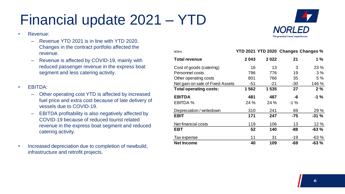## Financial update 2021 – YTD

- Revenue:
	- Revenue YTD 2021 is in line with YTD 2020. Changes in the contract portfolio affected the revenue.
	- Revenue is affected by COVID-19, mainly with reduced passenger revenue in the express boat segment and less catering activity.
- EBITDA:
	- Other operating cost YTD is affected by increased fuel price and extra cost because of late delivery of vessels due to COVID-19.
	- EBITDA profitability is also negatively affected by COVID-19 because of reduced tourist related revenue in the express boat segment and reduced catering activity.
- Increased depreciation due to completion of newbuild, infrastructure and retrofit projects.



| <b>NOKm</b>                      |      |       |        | YTD 2021 YTD 2020 Changes Changes % |
|----------------------------------|------|-------|--------|-------------------------------------|
| <b>Total revenue</b>             | 2043 | 2022  | 21     | $1\%$                               |
| Cost of goods (catering)         | 16   | 13    | 3      | 23 %                                |
| Personnel costs                  | 796  | 776   | 19     | 3%                                  |
| Other operating costs            | 801  | 766   | 35     | 5%                                  |
| Net gain on sale of Fixed Assets | -51  | $-21$ | $-30$  | 146 %                               |
| <b>Total operating costs:</b>    | 1562 | 1535  | 27     | 2%                                  |
| <b>EBITDA</b>                    | 481  | 487   | -6     | $-1\%$                              |
| <b>EBITDA %</b>                  | 24 % | 24 %  | $-1\%$ |                                     |
| Depreciation / writedown         | 310  | 241   | 69     | 29 %                                |
| <b>EBIT</b>                      | 171  | 247   | $-75$  | $-31%$                              |
| Net financial costs              | 119  | 106   | 13     | 12 %                                |
| <b>EBT</b>                       | 52   | 140   | -88    | $-63%$                              |
| Tax expense                      | 11   | 31    | $-19$  | $-63%$                              |
| <b>Net Income</b>                | 40   | 109   | -69    | $-63%$                              |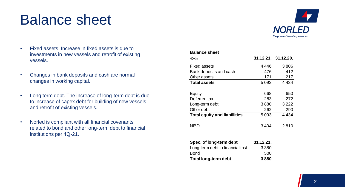#### Balance sheet



- Fixed assets. Increase in fixed assets is due to investments in new vessels and retrofit of existing vessels.
- Changes in bank deposits and cash are normal changes in working capital.
- Long term debt. The increase of long-term debt is due to increase of capex debt for building of new vessels and retrofit of existing vessels.
- Norled is compliant with all financial covenants related to bond and other long-term debt to financial institutions per 4Q-21.

| <b>Balance sheet</b>                 |           |                     |
|--------------------------------------|-----------|---------------------|
| <b>NOKm</b>                          |           | 31.12.21. 31.12.20. |
| <b>Fixed assets</b>                  | 4 446     | 3806                |
| Bank deposits and cash               | 476       | 412                 |
| Other assets                         | 171       | 217                 |
| <b>Total assets</b>                  | 5093      | 4 4 3 4             |
| Equity                               | 668       | 650                 |
| Deferred tax                         | 283       | 272                 |
| Long-term debt                       | 3880      | 3 2 2 2             |
| Other debt                           | 262       | 290                 |
| <b>Total equity and liabillities</b> | 5093      | 4 4 3 4             |
| <b>NIBD</b>                          | 3404      | 2810                |
| Spec. of long-term debt              | 31.12.21. |                     |
| Long-term debt to financial inst.    | 3 380     |                     |
| Bond                                 | 500       |                     |

**Total long-term debt 3 880**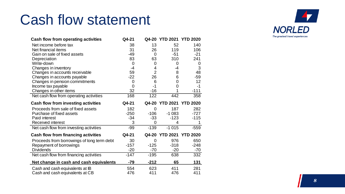#### Cash flow statement

| <b>Cash flow from operating activities</b>  | Q4-21          |                | Q4-20 YTD 2021 YTD 2020 |                 |
|---------------------------------------------|----------------|----------------|-------------------------|-----------------|
| Net income before tax                       | 38             | 13             | 52                      | 140             |
| Net financial items                         | 31             | 26             | 119                     | 106             |
| Gain on sale of fixed assets                | $-49$          | $\overline{0}$ | $-51$                   | $-21$           |
| Depreciation                                | 83             | 63             | 310                     | 241             |
| Write-down                                  | $\overline{0}$ | 0              | 0                       | 0               |
| Changes in inventory                        | $-4$           | 4              | -4                      | 3               |
| Changes in accounts receivable              | 59             | $\overline{2}$ | 8                       | 48              |
| Changes in accounts payable                 | $-22$          | 26             | 6                       | $-59$           |
| Changes in pension commitments              | 0              | 6              | 0                       | 12              |
| Income tax payable                          | $\overline{0}$ | $-1$           | 0                       | $-1$            |
| Changes in other items                      | 32             | $-16$          |                         | $-111$          |
| Net cash flow from operating activities     | 168            | 122            | 442                     | 358             |
| <b>Cash flow from investing activities</b>  | Q4-21          |                | Q4-20 YTD 2021 YTD 2020 |                 |
|                                             |                |                |                         |                 |
| Proceeds from sale of fixed assets          | 182            | $\Omega$       | 187                     | 282             |
| Purchase of fixed assets                    | $-250$         | $-106$         | $-1083$                 | $-727$          |
| Paid interest                               | $-34$          | $-33$          | $-123$                  | $-115$          |
| Received interest                           | 3              | 0              | 4                       |                 |
| Net cash flow from investing activities     | $-99$          | $-139$         | $-1015$                 | $-559$          |
| <b>Cash flow from financing activities</b>  | Q4-21          | Q4-20          | <b>YTD 2021</b>         | <b>YTD 2020</b> |
|                                             | 30             | 0              | 976                     | 650             |
| Proceeds from borrowings of long term debt  | $-157$         | $-125$         | $-318$                  | $-248$          |
| Repayment of borrowings<br><b>Dividends</b> | $-20$          | $-70$          | $-20$                   | $-70$           |
| Net cash flow from financing activities     | $-147$         | $-195$         | 638                     | 332             |
| Net change in cash and cash equivalents     | $-79$          | $-212$         | 65                      | 131             |
| Cash and cash equivalents at IB             | 554            | 623            | 411                     | 281             |

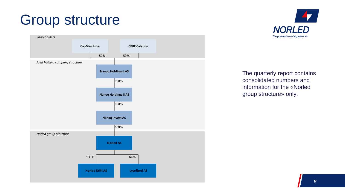#### Group structure





The quarterly report contains consolidated numbers and information for the «Norled group structure» only.